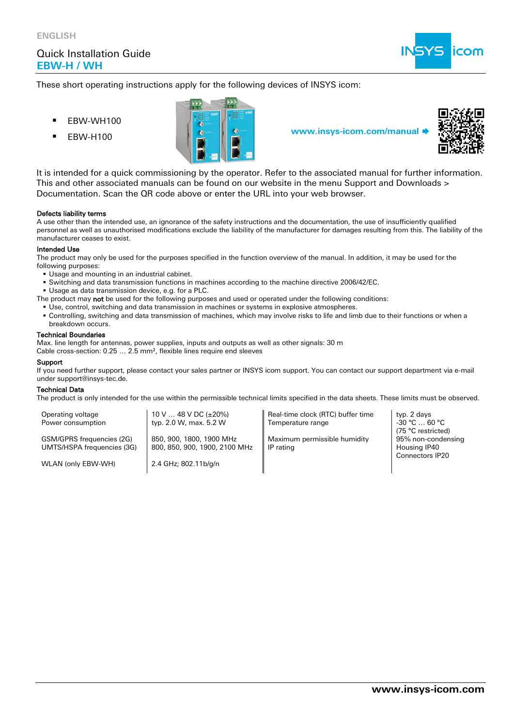

These short operating instructions apply for the following devices of INSYS icom:

- EBW-WH100
- 





It is intended for a quick commissioning by the operator. Refer to the associated manual for further information. This and other associated manuals can be found on our website in the menu Support and Downloads > Documentation. Scan the QR code above or enter the URL into your web browser.

### Defects liability terms

A use other than the intended use, an ignorance of the safety instructions and the documentation, the use of insufficiently qualified personnel as well as unauthorised modifications exclude the liability of the manufacturer for damages resulting from this. The liability of the manufacturer ceases to exist.

### Intended Use

The product may only be used for the purposes specified in the function overview of the manual. In addition, it may be used for the following purposes:

- Usage and mounting in an industrial cabinet.
- Switching and data transmission functions in machines according to the machine directive 2006/42/EC.
- Usage as data transmission device, e.g. for a PLC.
- The product may not be used for the following purposes and used or operated under the following conditions:
	- Use, control, switching and data transmission in machines or systems in explosive atmospheres.
	- Controlling, switching and data transmission of machines, which may involve risks to life and limb due to their functions or when a breakdown occurs.

### Technical Boundaries

Max. line length for antennas, power supplies, inputs and outputs as well as other signals: 30 m

Cable cross-section: 0.25 … 2.5 mm², flexible lines require end sleeves

### Support

If you need further support, please contact your sales partner or INSYS icom support. You can contact our support department via e-mail under support@insys-tec.de.

### Technical Data

The product is only intended for the use within the permissible technical limits specified in the data sheets. These limits must be observed.

| Operating voltage<br>Power consumption                  | 10 V $\ldots$ 48 V DC ( $\pm$ 20%)<br>typ. 2.0 W, max. 5.2 W | Real-time clock (RTC) buffer time<br>Temperature range | typ. 2 days<br>$-30 °C \dots 60 °C$                      |  |
|---------------------------------------------------------|--------------------------------------------------------------|--------------------------------------------------------|----------------------------------------------------------|--|
| GSM/GPRS frequencies (2G)<br>UMTS/HSPA frequencies (3G) | 850, 900, 1800, 1900 MHz<br>800, 850, 900, 1900, 2100 MHz    | Maximum permissible humidity<br>IP rating              | (75 °C restricted)<br>95% non-condensing<br>Housing IP40 |  |
| WLAN (only EBW-WH)                                      | 2.4 GHz; 802.11b/g/n                                         |                                                        | <b>Connectors IP20</b>                                   |  |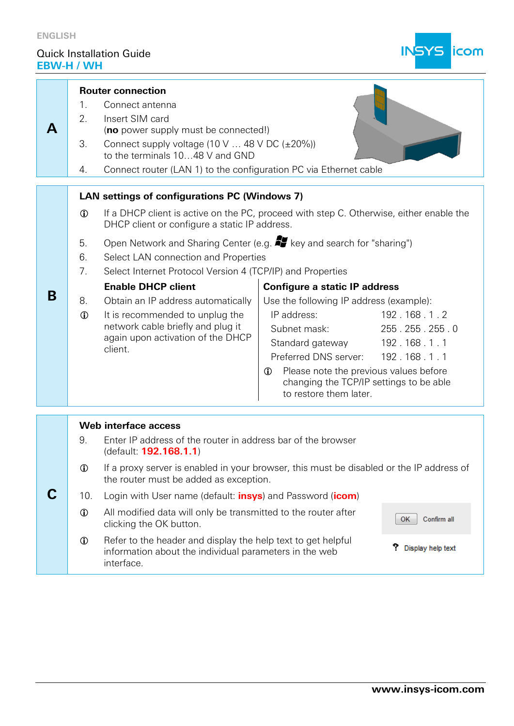

| А | 1.<br>2.<br>3.<br>4.                                                                                                                                        | <b>Router connection</b><br>Connect antenna<br>Insert SIM card<br>(no power supply must be connected!)<br>Connect supply voltage (10 V  48 V DC $(\pm 20\%)$ )<br>to the terminals 1048 V and GND<br>Connect router (LAN 1) to the configuration PC via Ethernet cable |                                                                                                                                                                                                                                                                                                                                                      |  |  |
|---|-------------------------------------------------------------------------------------------------------------------------------------------------------------|------------------------------------------------------------------------------------------------------------------------------------------------------------------------------------------------------------------------------------------------------------------------|------------------------------------------------------------------------------------------------------------------------------------------------------------------------------------------------------------------------------------------------------------------------------------------------------------------------------------------------------|--|--|
|   |                                                                                                                                                             | LAN settings of configurations PC (Windows 7)                                                                                                                                                                                                                          |                                                                                                                                                                                                                                                                                                                                                      |  |  |
|   | $\mathbf 0$                                                                                                                                                 | If a DHCP client is active on the PC, proceed with step C. Otherwise, either enable the<br>DHCP client or configure a static IP address.                                                                                                                               |                                                                                                                                                                                                                                                                                                                                                      |  |  |
|   | 5.<br>6.<br>7.                                                                                                                                              | Open Network and Sharing Center (e.g. <b>47</b> key and search for "sharing")<br>Select LAN connection and Properties<br>Select Internet Protocol Version 4 (TCP/IP) and Properties                                                                                    |                                                                                                                                                                                                                                                                                                                                                      |  |  |
| B | 8.<br>$\mathbf 0$                                                                                                                                           | <b>Enable DHCP client</b><br>Obtain an IP address automatically<br>It is recommended to unplug the<br>network cable briefly and plug it<br>again upon activation of the DHCP<br>client.                                                                                | <b>Configure a static IP address</b><br>Use the following IP address (example):<br>IP address:<br>192.168.1.2<br>255.255.255.0<br>Subnet mask:<br>Standard gateway 192.168.1.1<br>Preferred DNS server: 192.168.1.1<br>Please note the previous values before<br>$\mathbf \Phi$<br>changing the TCP/IP settings to be able<br>to restore them later. |  |  |
|   |                                                                                                                                                             | Web interface access                                                                                                                                                                                                                                                   |                                                                                                                                                                                                                                                                                                                                                      |  |  |
|   | 9.                                                                                                                                                          | Enter IP address of the router in address bar of the browser<br>(default: 192.168.1.1)                                                                                                                                                                                 |                                                                                                                                                                                                                                                                                                                                                      |  |  |
|   | $\mathbf 0$                                                                                                                                                 | If a proxy server is enabled in your browser, this must be disabled or the IP address of<br>the router must be added as exception.                                                                                                                                     |                                                                                                                                                                                                                                                                                                                                                      |  |  |
|   | 10.                                                                                                                                                         | Login with User name (default: <b>insys</b> ) and Password (icom)                                                                                                                                                                                                      |                                                                                                                                                                                                                                                                                                                                                      |  |  |
|   | $\mathbf 0$                                                                                                                                                 | All modified data will only be transmitted to the router after<br>Confirm all<br>ОК<br>clicking the OK button.                                                                                                                                                         |                                                                                                                                                                                                                                                                                                                                                      |  |  |
|   | Refer to the header and display the help text to get helpful<br>$^\circledR$<br>Display help text<br>information about the individual parameters in the web |                                                                                                                                                                                                                                                                        |                                                                                                                                                                                                                                                                                                                                                      |  |  |

information about the individual parameters in the web

interface.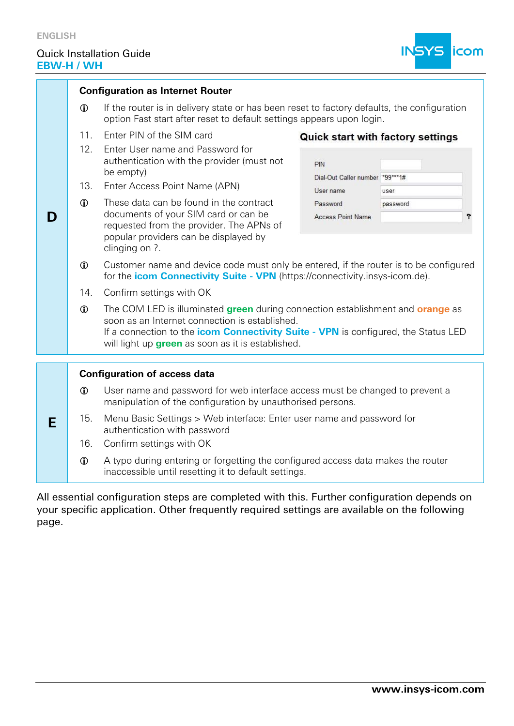

|   |                                  | <b>Configuration as Internet Router</b>                                                                                                                                                                                                                                                                                                             |                                                                                             |                                                                   |  |  |  |
|---|----------------------------------|-----------------------------------------------------------------------------------------------------------------------------------------------------------------------------------------------------------------------------------------------------------------------------------------------------------------------------------------------------|---------------------------------------------------------------------------------------------|-------------------------------------------------------------------|--|--|--|
|   | $\mathbf 0$                      | If the router is in delivery state or has been reset to factory defaults, the configuration<br>option Fast start after reset to default settings appears upon login.                                                                                                                                                                                |                                                                                             |                                                                   |  |  |  |
| D | 11.<br>12.<br>13.<br>$\mathbf 0$ | Enter PIN of the SIM card<br>Enter User name and Password for<br>authentication with the provider (must not<br>be empty)<br>Enter Access Point Name (APN)<br>These data can be found in the contract<br>documents of your SIM card or can be<br>requested from the provider. The APNs of<br>popular providers can be displayed by<br>clinging on ?. | PIN<br>Dial-Out Caller number *99***1#<br>User name<br>Password<br><b>Access Point Name</b> | <b>Quick start with factory settings</b><br>user<br>password<br>? |  |  |  |
|   | $\mathbf 0$                      | Customer name and device code must only be entered, if the router is to be configured<br>for the <b>icom Connectivity Suite - VPN</b> (https://connectivity.insys-icom.de).                                                                                                                                                                         |                                                                                             |                                                                   |  |  |  |
|   | 14.                              | Confirm settings with OK                                                                                                                                                                                                                                                                                                                            |                                                                                             |                                                                   |  |  |  |
|   | $\mathbf 0$                      | The COM LED is illuminated green during connection establishment and orange as<br>soon as an Internet connection is established.<br>If a connection to the <i>icom Connectivity Suite - VPN</i> is configured, the Status LED<br>will light up <b>green</b> as soon as it is established.                                                           |                                                                                             |                                                                   |  |  |  |
|   |                                  |                                                                                                                                                                                                                                                                                                                                                     |                                                                                             |                                                                   |  |  |  |
|   |                                  | <b>Configuration of access data</b>                                                                                                                                                                                                                                                                                                                 |                                                                                             |                                                                   |  |  |  |
| E | $\mathbf 0$                      | User name and password for web interface access must be changed to prevent a<br>manipulation of the configuration by unauthorised persons.                                                                                                                                                                                                          |                                                                                             |                                                                   |  |  |  |
|   | 15.                              | Menu Basic Settings > Web interface: Enter user name and password for<br>authentication with password                                                                                                                                                                                                                                               |                                                                                             |                                                                   |  |  |  |
|   | 16.                              | Confirm settings with OK                                                                                                                                                                                                                                                                                                                            |                                                                                             |                                                                   |  |  |  |
|   | $\mathbf 0$                      | A typo during entering or forgetting the configured access data makes the router<br>inaccessible until resetting it to default settings.                                                                                                                                                                                                            |                                                                                             |                                                                   |  |  |  |

All essential configuration steps are completed with this. Further configuration depends on your specific application. Other frequently required settings are available on the following page.